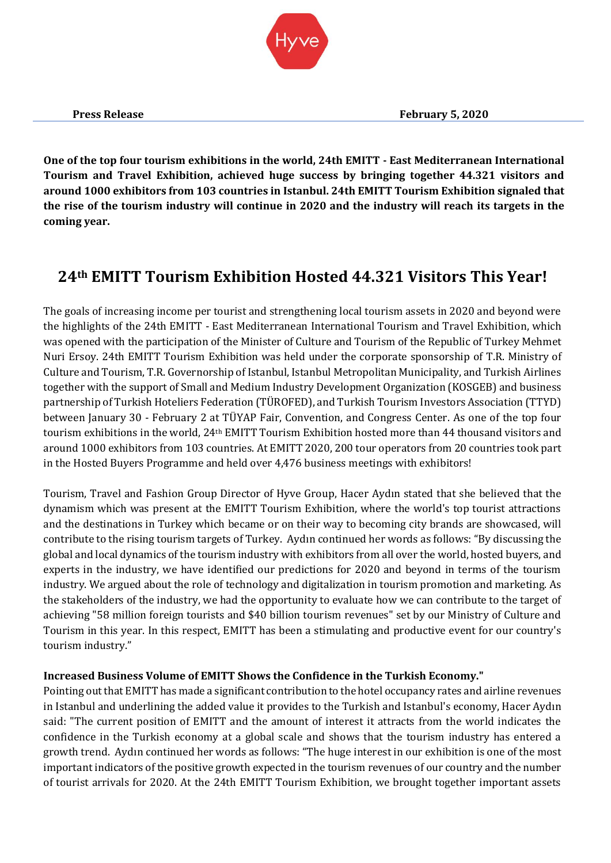

**One of the top four tourism exhibitions in the world, 24th EMITT - East Mediterranean International Tourism and Travel Exhibition, achieved huge success by bringing together 44.321 visitors and around 1000 exhibitors from 103 countries in Istanbul. 24th EMITT Tourism Exhibition signaled that the rise of the tourism industry will continue in 2020 and the industry will reach its targets in the coming year.** 

# **24th EMITT Tourism Exhibition Hosted 44.321 Visitors This Year!**

The goals of increasing income per tourist and strengthening local tourism assets in 2020 and beyond were the highlights of the 24th EMITT - East Mediterranean International Tourism and Travel Exhibition, which was opened with the participation of the Minister of Culture and Tourism of the Republic of Turkey Mehmet Nuri Ersoy. 24th EMITT Tourism Exhibition was held under the corporate sponsorship of T.R. Ministry of Culture and Tourism, T.R. Governorship of Istanbul, Istanbul Metropolitan Municipality, and Turkish Airlines together with the support of Small and Medium Industry Development Organization (KOSGEB) and business partnership of Turkish Hoteliers Federation (TÜROFED), and Turkish Tourism Investors Association (TTYD) between January 30 - February 2 at TÜYAP Fair, Convention, and Congress Center. As one of the top four tourism exhibitions in the world, 24th EMITT Tourism Exhibition hosted more than 44 thousand visitors and around 1000 exhibitors from 103 countries. At EMITT 2020, 200 tour operators from 20 countries took part in the Hosted Buyers Programme and held over 4,476 business meetings with exhibitors!

Tourism, Travel and Fashion Group Director of Hyve Group, Hacer Aydın stated that she believed that the dynamism which was present at the EMITT Tourism Exhibition, where the world's top tourist attractions and the destinations in Turkey which became or on their way to becoming city brands are showcased, will contribute to the rising tourism targets of Turkey. Aydın continued her words as follows: "By discussing the global and local dynamics of the tourism industry with exhibitors from all over the world, hosted buyers, and experts in the industry, we have identified our predictions for 2020 and beyond in terms of the tourism industry. We argued about the role of technology and digitalization in tourism promotion and marketing. As the stakeholders of the industry, we had the opportunity to evaluate how we can contribute to the target of achieving "58 million foreign tourists and \$40 billion tourism revenues" set by our Ministry of Culture and Tourism in this year. In this respect, EMITT has been a stimulating and productive event for our country's tourism industry."

## **Increased Business Volume of EMITT Shows the Confidence in the Turkish Economy."**

Pointing out that EMITT has made a significant contribution to the hotel occupancy rates and airline revenues in Istanbul and underlining the added value it provides to the Turkish and Istanbul's economy, Hacer Aydın said: "The current position of EMITT and the amount of interest it attracts from the world indicates the confidence in the Turkish economy at a global scale and shows that the tourism industry has entered a growth trend. Aydın continued her words as follows: "The huge interest in our exhibition is one of the most important indicators of the positive growth expected in the tourism revenues of our country and the number of tourist arrivals for 2020. At the 24th EMITT Tourism Exhibition, we brought together important assets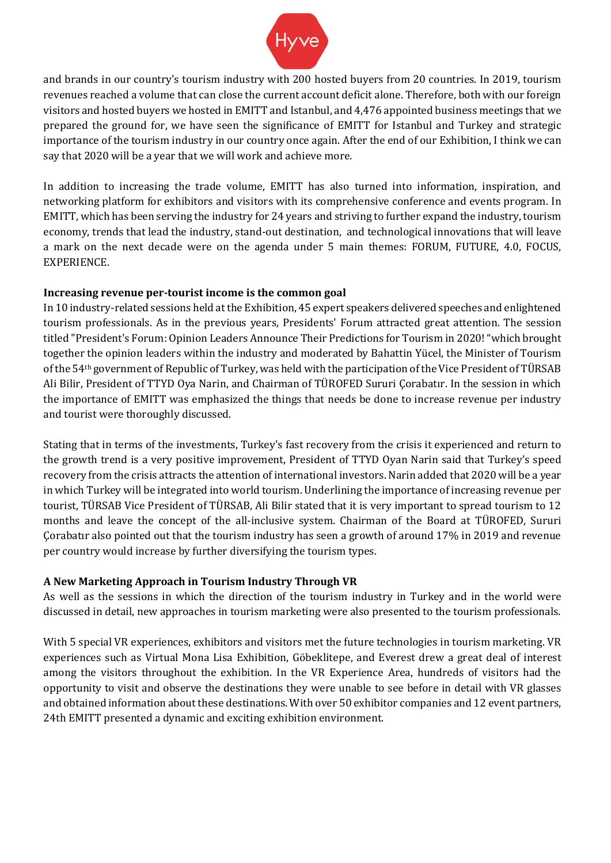

and brands in our country's tourism industry with 200 hosted buyers from 20 countries. In 2019, tourism revenues reached a volume that can close the current account deficit alone. Therefore, both with our foreign visitors and hosted buyers we hosted in EMITT and Istanbul, and 4,476 appointed business meetings that we prepared the ground for, we have seen the significance of EMITT for Istanbul and Turkey and strategic importance of the tourism industry in our country once again. After the end of our Exhibition, I think we can say that 2020 will be a year that we will work and achieve more.

In addition to increasing the trade volume, EMITT has also turned into information, inspiration, and networking platform for exhibitors and visitors with its comprehensive conference and events program. In EMITT, which has been serving the industry for 24 years and striving to further expand the industry, tourism economy, trends that lead the industry, stand-out destination, and technological innovations that will leave a mark on the next decade were on the agenda under 5 main themes: FORUM, FUTURE, 4.0, FOCUS, EXPERIENCE.

### **Increasing revenue per-tourist income is the common goal**

In 10 industry-related sessions held at the Exhibition, 45 expert speakers delivered speeches and enlightened tourism professionals. As in the previous years, Presidents' Forum attracted great attention. The session titled "President's Forum: Opinion Leaders Announce Their Predictions for Tourism in 2020! "which brought together the opinion leaders within the industry and moderated by Bahattin Yücel, the Minister of Tourism of the 54th government of Republic of Turkey, was held with the participation of the Vice President of TÜRSAB Ali Bilir, President of TTYD Oya Narin, and Chairman of TÜROFED Sururi Çorabatır. In the session in which the importance of EMITT was emphasized the things that needs be done to increase revenue per industry and tourist were thoroughly discussed.

Stating that in terms of the investments, Turkey's fast recovery from the crisis it experienced and return to the growth trend is a very positive improvement, President of TTYD Oyan Narin said that Turkey's speed recovery from the crisis attracts the attention of international investors. Narin added that 2020 will be a year in which Turkey will be integrated into world tourism. Underlining the importance of increasing revenue per tourist, TÜRSAB Vice President of TÜRSAB, Ali Bilir stated that it is very important to spread tourism to 12 months and leave the concept of the all-inclusive system. Chairman of the Board at TÜROFED, Sururi Çorabatır also pointed out that the tourism industry has seen a growth of around 17% in 2019 and revenue per country would increase by further diversifying the tourism types.

## **A New Marketing Approach in Tourism Industry Through VR**

As well as the sessions in which the direction of the tourism industry in Turkey and in the world were discussed in detail, new approaches in tourism marketing were also presented to the tourism professionals.

With 5 special VR experiences, exhibitors and visitors met the future technologies in tourism marketing. VR experiences such as Virtual Mona Lisa Exhibition, Göbeklitepe, and Everest drew a great deal of interest among the visitors throughout the exhibition. In the VR Experience Area, hundreds of visitors had the opportunity to visit and observe the destinations they were unable to see before in detail with VR glasses and obtained information about these destinations. With over 50 exhibitor companies and 12 event partners, 24th EMITT presented a dynamic and exciting exhibition environment.